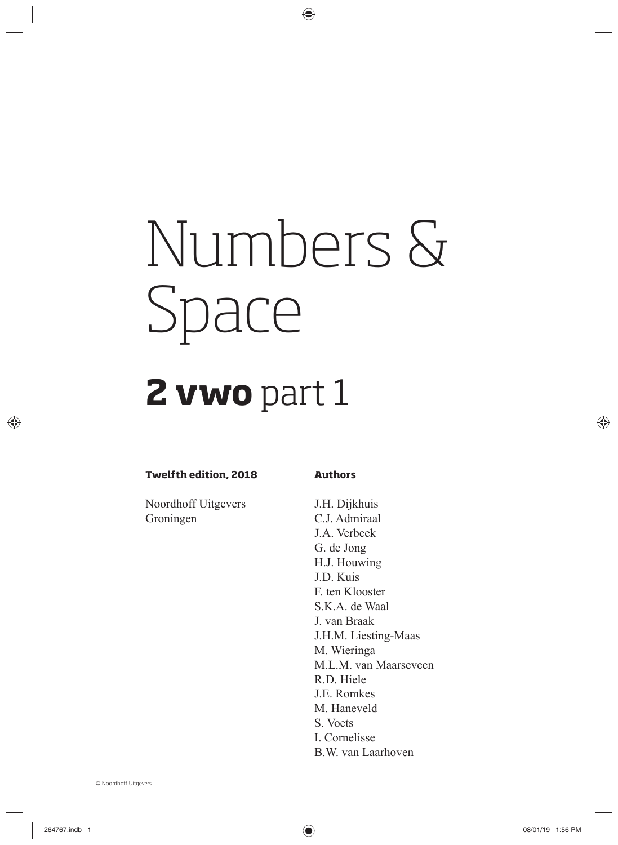# Numbers & Space

## **2 vwo** part 1

#### **Twelfth edition, 2018**

**Authors**

Noordhoff Uitgevers Groningen

J.H. Dijkhuis C.J. Admiraal J.A. Verbeek G. de Jong H.J. Houwing J.D. Kuis F. ten Klooster S.K.A. de Waal J. van Braak J.H.M. Liesting-Maas M. Wieringa M.L.M. van Maarseveen R.D. Hiele J.E. Romkes M. Haneveld S. Voets I. Cornelisse B.W. van Laarhoven